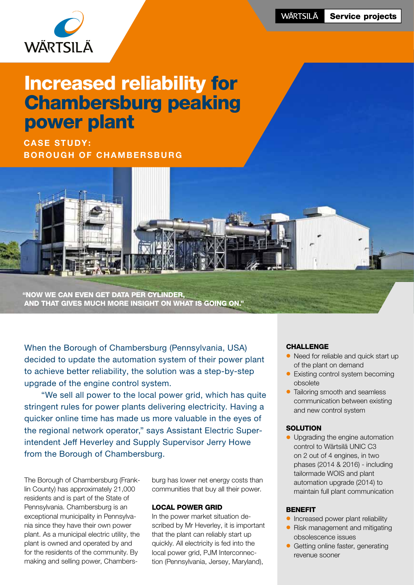

# Increased reliability for Chambersburg peaking power plant

**CASE STUDY:** BOROUGH OF CHAMBERSBURG



"Now we can even get data per cylinder, and that gives much more insight on what is going on."

When the Borough of Chambersburg (Pennsylvania, USA) decided to update the automation system of their power plant to achieve better reliability, the solution was a step-by-step upgrade of the engine control system.

 "We sell all power to the local power grid, which has quite stringent rules for power plants delivering electricity. Having a quicker online time has made us more valuable in the eyes of the regional network operator," says Assistant Electric Superintendent Jeff Heverley and Supply Supervisor Jerry Howe from the Borough of Chambersburg.

The Borough of Chambersburg (Franklin County) has approximately 21,000 residents and is part of the State of Pennsylvania. Chambersburg is an exceptional municipality in Pennsylvania since they have their own power plant. As a municipal electric utility, the plant is owned and operated by and for the residents of the community. By making and selling power, Chambersburg has lower net energy costs than communities that buy all their power.

#### Local power grid

In the power market situation described by Mr Heverley, it is important that the plant can reliably start up quickly. All electricity is fed into the local power grid, PJM Interconnection (Pennsylvania, Jersey, Maryland),

#### **CHALLENGE**

- Need for reliable and quick start up of the plant on demand
- Existing control system becoming obsolete
- Tailoring smooth and seamless communication between existing and new control system

#### **SOLUTION**

• Upgrading the engine automation control to Wärtsilä UNIC C3 on 2 out of 4 engines, in two phases (2014 & 2016) - including tailormade WOIS and plant automation upgrade (2014) to maintain full plant communication

#### **BENEFIT**

- **•** Increased power plant reliability
- Risk management and mitigating obsolescence issues
- Getting online faster, generating revenue sooner